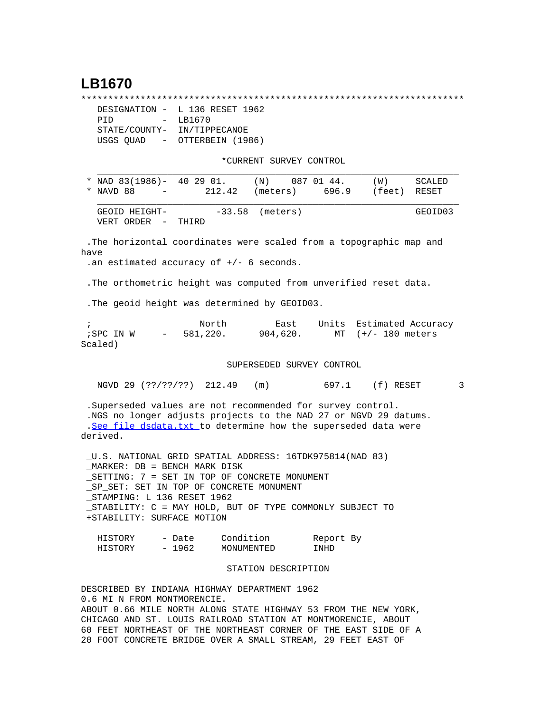## **LB1670**

\*\*\*\*\*\*\*\*\*\*\*\*\*\*\*\*\*\*\*\*\*\*\*\*\*\*\*\*\*\*\*\*\*\*\*\*\*\*\*\*\*\*\*\*\*\*\*\*\*\*\*\*\*\*\*\*\*\*\*\*\*\*\*\*\*\*\*\*\*\*\*

|                             | DESIGNATION - L 136 RESET 1962 |  |  |  |
|-----------------------------|--------------------------------|--|--|--|
| PTD<br>$ -$                 | LB1670                         |  |  |  |
| STATE/COUNTY- IN/TIPPECANOE |                                |  |  |  |
| USGS QUAD<br>$\sim$         | OTTERBEIN (1986)               |  |  |  |

\*CURRENT SURVEY CONTROL

| * NAD $83(1986) - 402901$ .           |        | (N)               | 087 01 44. | (M)          | SCALED  |
|---------------------------------------|--------|-------------------|------------|--------------|---------|
| * NAVD 88<br><b>Contract Contract</b> | 212.42 | (meters)          | 696.9      | (feet) RESET |         |
| GEOID HEIGHT-<br>VERT ORDER –         | THIRD  | $-33.58$ (meters) |            |              | GEOID03 |

 .The horizontal coordinates were scaled from a topographic map and have

.an estimated accuracy of +/- 6 seconds.

.The orthometric height was computed from unverified reset data.

.The geoid height was determined by GEOID03.

 ; North East Units Estimated Accuracy ;SPC IN W - 581,220. 904,620. MT (+/- 180 meters Scaled)

## SUPERSEDED SURVEY CONTROL

NGVD 29 (??/??/??) 212.49 (m) 697.1 (f) RESET 3

 .Superseded values are not recommended for survey control. .NGS no longer adjusts projects to the NAD 27 or NGVD 29 datums. .[See file dsdata.txt](http://www.ngs.noaa.gov/cgi-bin/ds_lookup.prl?Item=HOW_SUP_DET) to determine how the superseded data were derived.

 \_U.S. NATIONAL GRID SPATIAL ADDRESS: 16TDK975814(NAD 83) \_MARKER: DB = BENCH MARK DISK \_SETTING: 7 = SET IN TOP OF CONCRETE MONUMENT \_SP\_SET: SET IN TOP OF CONCRETE MONUMENT STAMPING: L 136 RESET 1962 \_STABILITY: C = MAY HOLD, BUT OF TYPE COMMONLY SUBJECT TO +STABILITY: SURFACE MOTION

| HISTORY | - Date | Condition  | Report By |
|---------|--------|------------|-----------|
| HISTORY | - 1962 | MONUMENTED | TNHD      |

## STATION DESCRIPTION

DESCRIBED BY INDIANA HIGHWAY DEPARTMENT 1962 0.6 MI N FROM MONTMORENCIE. ABOUT 0.66 MILE NORTH ALONG STATE HIGHWAY 53 FROM THE NEW YORK, CHICAGO AND ST. LOUIS RAILROAD STATION AT MONTMORENCIE, ABOUT 60 FEET NORTHEAST OF THE NORTHEAST CORNER OF THE EAST SIDE OF A 20 FOOT CONCRETE BRIDGE OVER A SMALL STREAM, 29 FEET EAST OF